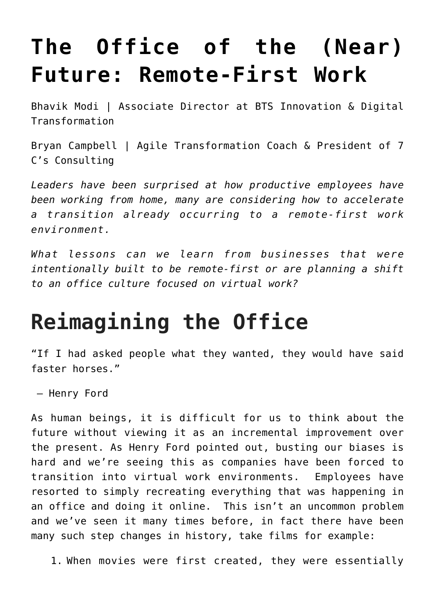## **[The Office of the \(Near\)](https://bryancampbell.com/the-office-of-the-near-future-remote-first-work/) [Future: Remote-First Work](https://bryancampbell.com/the-office-of-the-near-future-remote-first-work/)**

[Bhavik Modi](mailto:bhavik.modi@bts.com) | Associate Director at [BTS Innovation & Digital](https://bts.com) [Transformation](https://bts.com)

[Bryan Campbell](mailto:bryan@7c-consulting.com) | Agile Transformation Coach & President of 7 C's Consulting

*Leaders have been surprised at how productive employees have been working from home, many are considering how to accelerate a transition already occurring to a remote-first work environment.*

*What lessons can we learn from businesses that were intentionally built to be remote-first or are planning a shift to an office culture focused on virtual work?*

## **Reimagining the Office**

"If I had asked people what they wanted, they would have said faster horses."

– Henry Ford

As human beings, it is difficult for us to think about the future without viewing it as an incremental improvement over the present. As Henry Ford pointed out, busting our biases is hard and we're seeing this as companies have been forced to transition into virtual work environments. Employees have resorted to simply recreating everything that was happening in an office and doing it online. This isn't an uncommon problem and we've seen it many times before, in fact there have been many such step changes in history, take films for example:

1. When movies were first created, they were essentially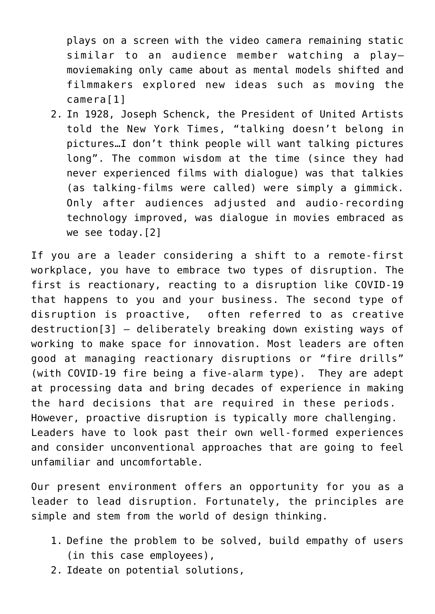plays on a screen with the video camera remaining static similar to an audience member watching a play– moviemaking only came about as mental models shifted and filmmakers explored new ideas such as moving the camera[\[1\]](#page-8-0)

<span id="page-1-0"></span>2. In 1928, Joseph Schenck, the President of United Artists told the New York Times, "talking doesn't belong in pictures…I don't think people will want talking pictures long". The common wisdom at the time (since they had never experienced films with dialogue) was that talkies (as talking-films were called) were simply a gimmick. Only after audiences adjusted and audio-recording technology improved, was dialogue in movies embraced as we see today.[\[2\]](#page-8-1)

<span id="page-1-2"></span><span id="page-1-1"></span>If you are a leader considering a shift to a remote-first workplace, you have to embrace two types of disruption. The first is reactionary, reacting to a disruption like COVID-19 that happens to you and your business. The second type of disruption is proactive, often referred to as creative destruction[\[3\]](#page-8-2) – deliberately breaking down existing ways of working to make space for innovation. Most leaders are often good at managing reactionary disruptions or "fire drills" (with COVID-19 fire being a five-alarm type). They are adept at processing data and bring decades of experience in making the hard decisions that are required in these periods. However, proactive disruption is typically more challenging. Leaders have to look past their own well-formed experiences and consider unconventional approaches that are going to feel unfamiliar and uncomfortable.

Our present environment offers an opportunity for you as a leader to lead disruption. Fortunately, the principles are simple and stem from the world of design thinking.

- 1. Define the problem to be solved, build empathy of users (in this case employees),
- 2. Ideate on potential solutions,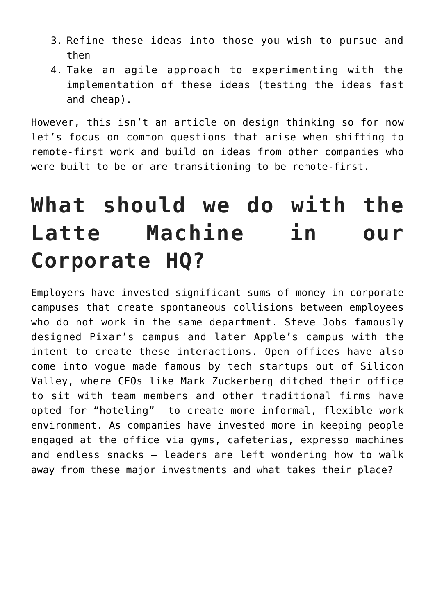- 3. Refine these ideas into those you wish to pursue and then
- 4. Take an agile approach to experimenting with the implementation of these ideas (testing the ideas fast and cheap).

However, this isn't an article on design thinking so for now let's focus on common questions that arise when shifting to remote-first work and build on ideas from other companies who were built to be or are transitioning to be remote-first.

# **What should we do with the Latte Machine in our Corporate HQ?**

Employers have invested significant sums of money in corporate campuses that create spontaneous collisions between employees who do not work in the same department. Steve Jobs famously designed Pixar's campus and later Apple's campus with the intent to create these interactions. Open offices have also come into vogue made famous by tech startups out of Silicon Valley, where CEOs like Mark Zuckerberg ditched their office to sit with team members and other traditional firms have opted for "hoteling" to create more informal, flexible work environment. As companies have invested more in keeping people engaged at the office via gyms, cafeterias, expresso machines and endless snacks – leaders are left wondering how to walk away from these major investments and what takes their place?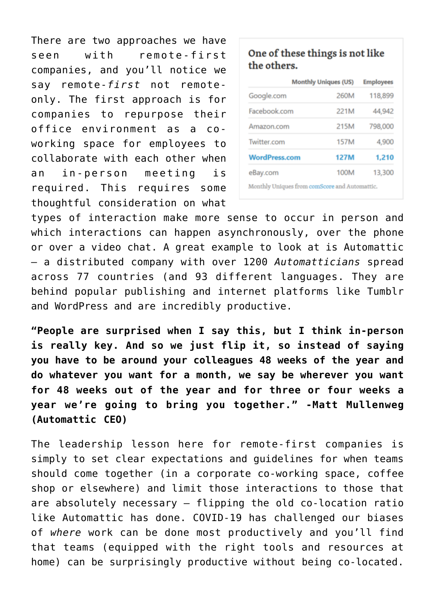There are two approaches we have seen with remote-first companies, and you'll notice we say remote-*first* not remoteonly. The first approach is for companies to repurpose their office environment as a coworking space for employees to collaborate with each other when an in-person meeting is required. This requires some thoughtful consideration on what

#### One of these things is not like the others.

|                                                                                                                                     | <b>Monthly Uniques (US)</b> | <b>Employees</b> |
|-------------------------------------------------------------------------------------------------------------------------------------|-----------------------------|------------------|
| Google.com                                                                                                                          | 260M                        | 118,899          |
| Facebook.com                                                                                                                        | 221M                        | 44,942           |
| Amazon.com                                                                                                                          | 215M                        | 798,000          |
| Twitter.com                                                                                                                         | 157M                        | 4,900            |
| <b>WordPress.com</b>                                                                                                                | 127M                        | 1,210            |
| eBay.com                                                                                                                            | 100M                        | 13,300           |
| $\mathbf{r}$ and $\mathbf{r}$ are $\mathbf{r}$ and $\mathbf{r}$ are $\mathbf{r}$ and $\mathbf{r}$ are $\mathbf{r}$ and $\mathbf{r}$ |                             |                  |

Monthly Uniques from comScore and Automattic.

types of interaction make more sense to occur in person and which interactions can happen asynchronously, over the phone or over a video chat. A great example to look at is Automattic – a distributed company with over 1200 *Automatticians* spread across 77 countries (and 93 different languages. They are behind popular publishing and internet platforms like Tumblr and WordPress and are incredibly productive.

**"People are surprised when I say this, but I think in-person is really key. And so we just flip it, so instead of saying you have to be around your colleagues 48 weeks of the year and do whatever you want for a month, we say be wherever you want for 48 weeks out of the year and for three or four weeks a year we're going to bring you together." -Matt Mullenweg (Automattic CEO)**

The leadership lesson here for remote-first companies is simply to set clear expectations and guidelines for when teams should come together (in a corporate co-working space, coffee shop or elsewhere) and limit those interactions to those that are absolutely necessary – flipping the old co-location ratio like Automattic has done. COVID-19 has challenged our biases of *where* work can be done most productively and you'll find that teams (equipped with the right tools and resources at home) can be surprisingly productive without being co-located.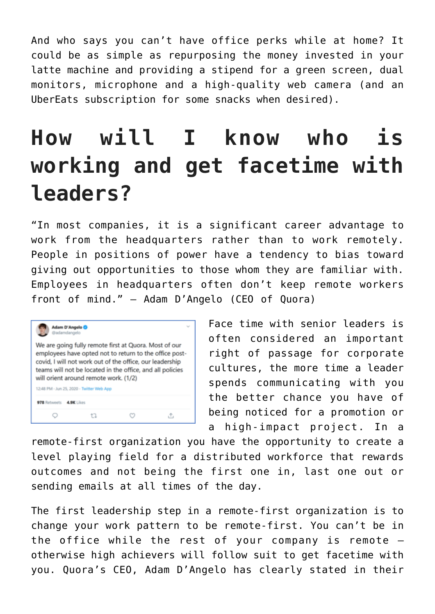And who says you can't have office perks while at home? It could be as simple as repurposing the money invested in your latte machine and providing a stipend for a green screen, dual monitors, microphone and a high-quality web camera (and an UberEats subscription for some snacks when desired).

## **How will I know who is working and get facetime with leaders?**

"In most companies, it is a significant career advantage to work from the headquarters rather than to work remotely. People in positions of power have a tendency to bias toward giving out opportunities to those whom they are familiar with. Employees in headquarters often don't keep remote workers front of mind." – Adam D'Angelo (CEO of Quora)



Face time with senior leaders is often considered an important right of passage for corporate cultures, the more time a leader spends communicating with you the better chance you have of being noticed for a promotion or a high-impact project. In a

remote-first organization you have the opportunity to create a level playing field for a distributed workforce that rewards outcomes and not being the first one in, last one out or sending emails at all times of the day.

The first leadership step in a remote-first organization is to change your work pattern to be remote-first. You can't be in the office while the rest of your company is remote – otherwise high achievers will follow suit to get facetime with you. Quora's CEO, Adam D'Angelo has clearly stated in their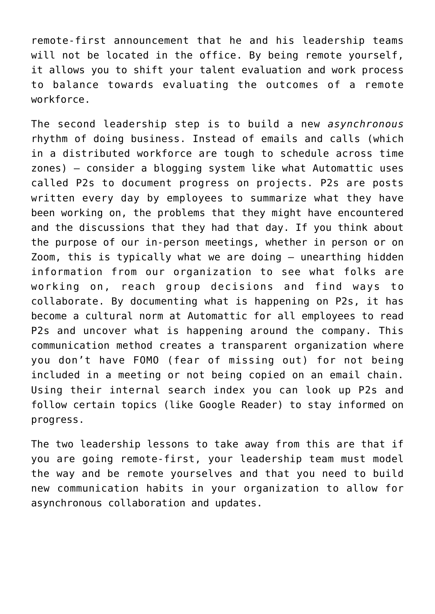remote-first announcement that he and his leadership teams will not be located in the office. By being remote yourself, it allows you to shift your talent evaluation and work process to balance towards evaluating the outcomes of a remote workforce.

The second leadership step is to build a new *asynchronous* rhythm of doing business. Instead of emails and calls (which in a distributed workforce are tough to schedule across time zones) – consider a blogging system like what Automattic uses called P2s to document progress on projects. P2s are posts written every day by employees to summarize what they have been working on, the problems that they might have encountered and the discussions that they had that day. If you think about the purpose of our in-person meetings, whether in person or on Zoom, this is typically what we are doing – unearthing hidden information from our organization to see what folks are working on, reach group decisions and find ways to collaborate. By documenting what is happening on P2s, it has become a cultural norm at Automattic for all employees to read P2s and uncover what is happening around the company. This communication method creates a transparent organization where you don't have FOMO (fear of missing out) for not being included in a meeting or not being copied on an email chain. Using their internal search index you can look up P2s and follow certain topics (like Google Reader) to stay informed on progress.

The two leadership lessons to take away from this are that if you are going remote-first, your leadership team must model the way and be remote yourselves and that you need to build new communication habits in your organization to allow for asynchronous collaboration and updates.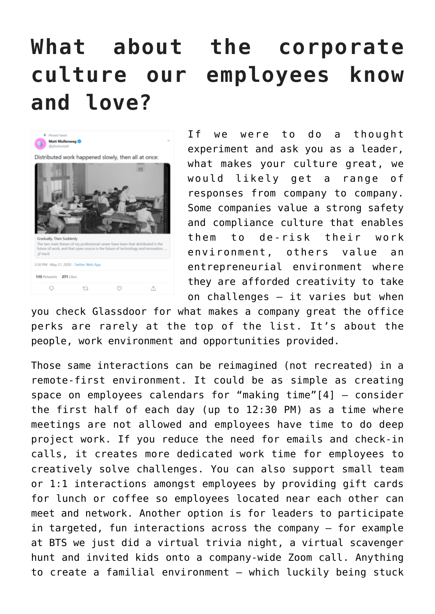# **What about the corporate culture our employees know and love?**



If we were to do a thought experiment and ask you as a leader, what makes your culture great, we would likely get a range of responses from company to company. Some companies value a strong safety and compliance culture that enables them to de-risk their work environment, others value an entrepreneurial environment where they are afforded creativity to take on challenges – it varies but when

you check Glassdoor for what makes a company great the office perks are rarely at the top of the list. It's about the people, work environment and opportunities provided.

<span id="page-6-0"></span>Those same interactions can be reimagined (not recreated) in a remote-first environment. It could be as simple as creating space on employees calendars for "making time"[\[4\]](#page-8-3) – consider the first half of each day (up to 12:30 PM) as a time where meetings are not allowed and employees have time to do deep project work. If you reduce the need for emails and check-in calls, it creates more dedicated work time for employees to creatively solve challenges. You can also support small team or 1:1 interactions amongst employees by providing gift cards for lunch or coffee so employees located near each other can meet and network. Another option is for leaders to participate in targeted, fun interactions across the company – for example at BTS we just did a virtual trivia night, a virtual scavenger hunt and invited kids onto a company-wide Zoom call. Anything to create a familial environment – which luckily being stuck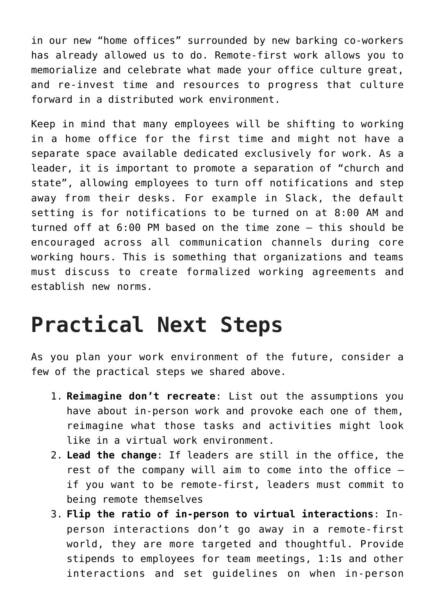in our new "home offices" surrounded by new barking co-workers has already allowed us to do. Remote-first work allows you to memorialize and celebrate what made your office culture great, and re-invest time and resources to progress that culture forward in a distributed work environment.

Keep in mind that many employees will be shifting to working in a home office for the first time and might not have a separate space available dedicated exclusively for work. As a leader, it is important to promote a separation of "church and state", allowing employees to turn off notifications and step away from their desks. For example in Slack, the default setting is for notifications to be turned on at 8:00 AM and turned off at 6:00 PM based on the time zone – this should be encouraged across all communication channels during core working hours. This is something that organizations and teams must discuss to create formalized working agreements and establish new norms.

### **Practical Next Steps**

As you plan your work environment of the future, consider a few of the practical steps we shared above.

- 1. **Reimagine don't recreate**: List out the assumptions you have about in-person work and provoke each one of them, reimagine what those tasks and activities might look like in a virtual work environment.
- 2. **Lead the change**: If leaders are still in the office, the rest of the company will aim to come into the office – if you want to be remote-first, leaders must commit to being remote themselves
- 3. **Flip the ratio of in-person to virtual interactions**: Inperson interactions don't go away in a remote-first world, they are more targeted and thoughtful. Provide stipends to employees for team meetings, 1:1s and other interactions and set guidelines on when in-person